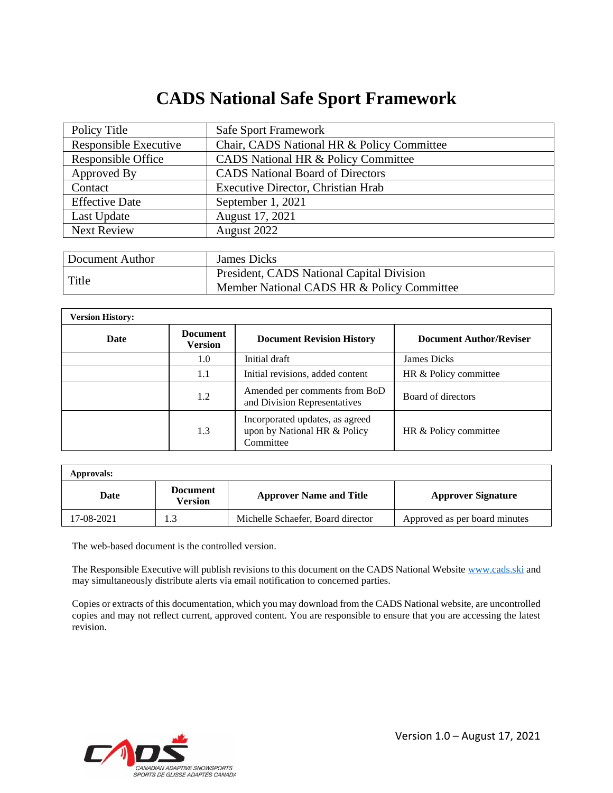## **CADS National Safe Sport Framework**

| Policy Title          | <b>Safe Sport Framework</b>                |
|-----------------------|--------------------------------------------|
| Responsible Executive | Chair, CADS National HR & Policy Committee |
| Responsible Office    | CADS National HR & Policy Committee        |
| Approved By           | <b>CADS</b> National Board of Directors    |
| Contact               | Executive Director, Christian Hrab         |
| <b>Effective Date</b> | September 1, 2021                          |
| Last Update           | August 17, 2021                            |
| <b>Next Review</b>    | August 2022                                |
|                       |                                            |

| Document Author | James Dicks                                                                             |
|-----------------|-----------------------------------------------------------------------------------------|
| Title           | President, CADS National Capital Division<br>Member National CADS HR & Policy Committee |

| <b>Version History:</b> |                                   |                                                                              |                                |  |  |
|-------------------------|-----------------------------------|------------------------------------------------------------------------------|--------------------------------|--|--|
| Date                    | <b>Document</b><br><b>Version</b> | <b>Document Revision History</b>                                             | <b>Document Author/Reviser</b> |  |  |
|                         | 1.0                               | Initial draft                                                                | <b>James Dicks</b>             |  |  |
|                         | 1.1                               | Initial revisions, added content                                             | HR & Policy committee          |  |  |
|                         | 1.2                               | Amended per comments from BoD<br>and Division Representatives                | Board of directors             |  |  |
|                         | 1.3                               | Incorporated updates, as agreed<br>upon by National HR & Policy<br>Committee | HR & Policy committee          |  |  |

| Approvals: |                                   |                                   |                               |  |  |
|------------|-----------------------------------|-----------------------------------|-------------------------------|--|--|
| Date       | <b>Document</b><br><b>Version</b> | <b>Approver Name and Title</b>    | <b>Approver Signature</b>     |  |  |
| 17-08-2021 |                                   | Michelle Schaefer, Board director | Approved as per board minutes |  |  |

The web-based document is the controlled version.

The Responsible Executive will publish revisions to this document on the CADS National Website [www.cads.ski](http://www.cads.ski/) and may simultaneously distribute alerts via email notification to concerned parties.

Copies or extracts of this documentation, which you may download from the CADS National website, are uncontrolled copies and may not reflect current, approved content. You are responsible to ensure that you are accessing the latest revision.

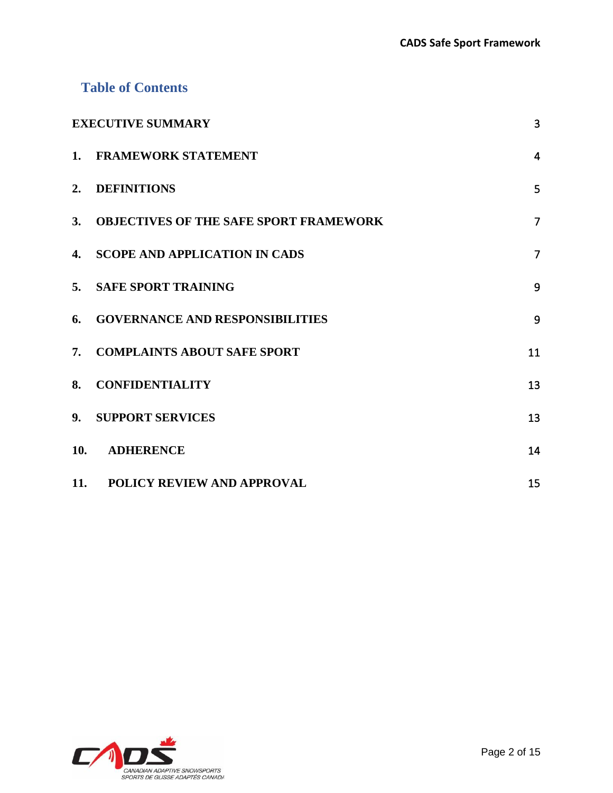## **Table of Contents**

| <b>EXECUTIVE SUMMARY</b> |                                               |                |
|--------------------------|-----------------------------------------------|----------------|
| $\mathbf{1}$ .           | <b>FRAMEWORK STATEMENT</b>                    | $\overline{4}$ |
| 2.                       | <b>DEFINITIONS</b>                            | 5              |
| 3.                       | <b>OBJECTIVES OF THE SAFE SPORT FRAMEWORK</b> | $\overline{7}$ |
| $\mathbf{4}$ .           | <b>SCOPE AND APPLICATION IN CADS</b>          | $\overline{7}$ |
| 5.                       | <b>SAFE SPORT TRAINING</b>                    | 9              |
| 6.                       | <b>GOVERNANCE AND RESPONSIBILITIES</b>        | 9              |
| 7.                       | <b>COMPLAINTS ABOUT SAFE SPORT</b>            | 11             |
| 8.                       | <b>CONFIDENTIALITY</b>                        | 13             |
| 9 <sub>r</sub>           | <b>SUPPORT SERVICES</b>                       | 13             |
| 10.                      | <b>ADHERENCE</b>                              | 14             |
| 11.                      | <b>POLICY REVIEW AND APPROVAL</b>             | 15             |

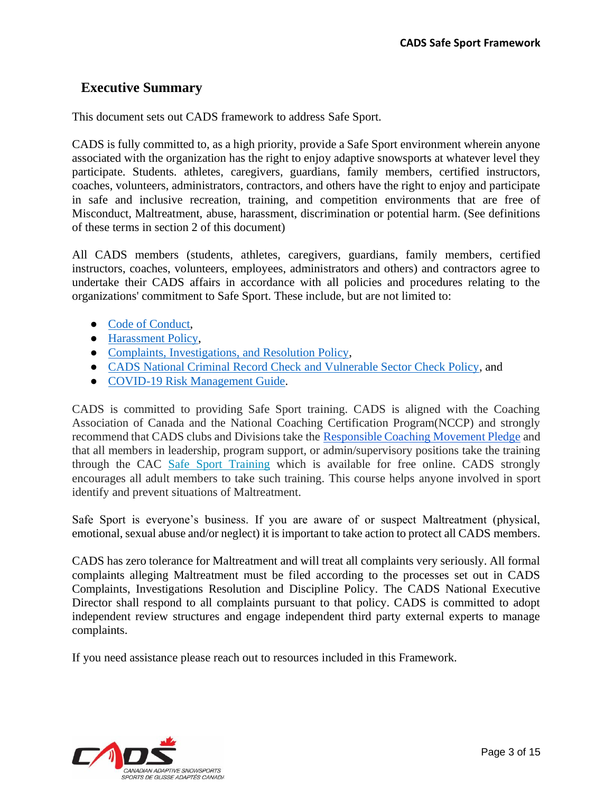## <span id="page-2-0"></span>**Executive Summary**

This document sets out CADS framework to address Safe Sport.

CADS is fully committed to, as a high priority, provide a Safe Sport environment wherein anyone associated with the organization has the right to enjoy adaptive snowsports at whatever level they participate. Students. athletes, caregivers, guardians, family members, certified instructors, coaches, volunteers, administrators, contractors, and others have the right to enjoy and participate in safe and inclusive recreation, training, and competition environments that are free of Misconduct, Maltreatment, abuse, harassment, discrimination or potential harm. (See definitions of these terms in section 2 of this document)

All CADS members (students, athletes, caregivers, guardians, family members, certified instructors, coaches, volunteers, employees, administrators and others) and contractors agree to undertake their CADS affairs in accordance with all policies and procedures relating to the organizations' commitment to Safe Sport. These include, but are not limited to:

- [Code of Conduct,](https://cads.ski/system/education_resources/docs/000/000/010/original/Code_of_Conduct__2020_10_09.pdf?1603132147)
- [Harassment Policy,](https://cads.ski/system/education_resources/docs/000/000/035/original/Harrassment_Policy_2020_08_14.pdf?1603132110)
- [Complaints, Investigations, and Resolution Policy,](https://cads.ski/system/education_resources/docs/000/000/034/original/Complaints__Investigations__Resolution_Policy_2020_08_14.pdf?1603132080)
- [CADS National Criminal Record Check and Vulnerable Sector Check Policy,](https://cads.ski/system/education_resources/docs/000/000/001/original/CADS_CRC_-_VS_Policy_V3.pdf?1603132167) and
- [COVID-19 Risk Management Guide.](https://cads.ski/system/education_resources/docs/000/000/093/original/CADS_National_COVID_Risk_Management_Guide__v3.1-1.pdf?1603214378)

CADS is committed to providing Safe Sport training. CADS is aligned with the Coaching Association of Canada and the National Coaching Certification Program(NCCP) and strongly recommend that CADS clubs and Divisions take the [Responsible Coaching Movement Pledge](https://coach.ca/responsible-coaching-movement) and that all members in leadership, program support, or admin/supervisory positions take the training through the CAC [Safe Sport Training](https://safesport.coach.ca/) which is available for free online. CADS strongly encourages all adult members to take such training. This course helps anyone involved in sport identify and prevent situations of Maltreatment.

Safe Sport is everyone's business. If you are aware of or suspect Maltreatment (physical, emotional, sexual abuse and/or neglect) it is important to take action to protect all CADS members.

CADS has zero tolerance for Maltreatment and will treat all complaints very seriously. All formal complaints alleging Maltreatment must be filed according to the processes set out in CADS Complaints, Investigations Resolution and Discipline Policy. The CADS National Executive Director shall respond to all complaints pursuant to that policy. CADS is committed to adopt independent review structures and engage independent third party external experts to manage complaints.

If you need assistance please reach out to resources included in this Framework.

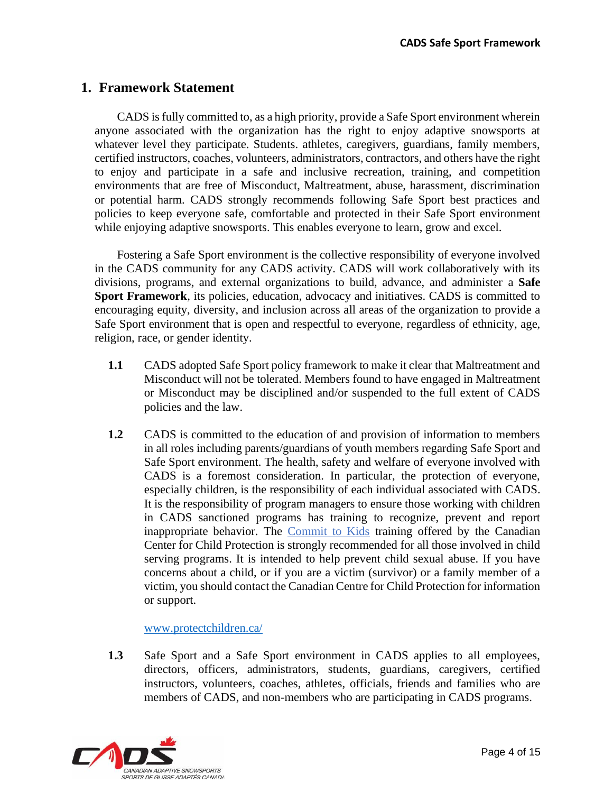## <span id="page-3-0"></span>**1. Framework Statement**

CADS is fully committed to, as a high priority, provide a Safe Sport environment wherein anyone associated with the organization has the right to enjoy adaptive snowsports at whatever level they participate. Students. athletes, caregivers, guardians, family members, certified instructors, coaches, volunteers, administrators, contractors, and others have the right to enjoy and participate in a safe and inclusive recreation, training, and competition environments that are free of Misconduct, Maltreatment, abuse, harassment, discrimination or potential harm. CADS strongly recommends following Safe Sport best practices and policies to keep everyone safe, comfortable and protected in their Safe Sport environment while enjoying adaptive snowsports. This enables everyone to learn, grow and excel.

Fostering a Safe Sport environment is the collective responsibility of everyone involved in the CADS community for any CADS activity. CADS will work collaboratively with its divisions, programs, and external organizations to build, advance, and administer a **Safe Sport Framework**, its policies, education, advocacy and initiatives. CADS is committed to encouraging equity, diversity, and inclusion across all areas of the organization to provide a Safe Sport environment that is open and respectful to everyone, regardless of ethnicity, age, religion, race, or gender identity.

- **1.1** CADS adopted Safe Sport policy framework to make it clear that Maltreatment and Misconduct will not be tolerated. Members found to have engaged in Maltreatment or Misconduct may be disciplined and/or suspended to the full extent of CADS policies and the law.
- **1.2** CADS is committed to the education of and provision of information to members in all roles including parents/guardians of youth members regarding Safe Sport and Safe Sport environment. The health, safety and welfare of everyone involved with CADS is a foremost consideration. In particular, the protection of everyone, especially children, is the responsibility of each individual associated with CADS. It is the responsibility of program managers to ensure those working with children in CADS sanctioned programs has training to recognize, prevent and report inappropriate behavior. The [Commit to Kids](https://commit2kids.ca/en/) training offered by the Canadian Center for Child Protection is strongly recommended for all those involved in child serving programs. It is intended to help prevent child sexual abuse. If you have concerns about a child, or if you are a victim (survivor) or a family member of a victim, you should contact the Canadian Centre for Child Protection for information or support.

#### [www.protectchildren.ca/](http://www.protectchildren.ca/)

**1.3** Safe Sport and a Safe Sport environment in CADS applies to all employees, directors, officers, administrators, students, guardians, caregivers, certified instructors, volunteers, coaches, athletes, officials, friends and families who are members of CADS, and non-members who are participating in CADS programs.

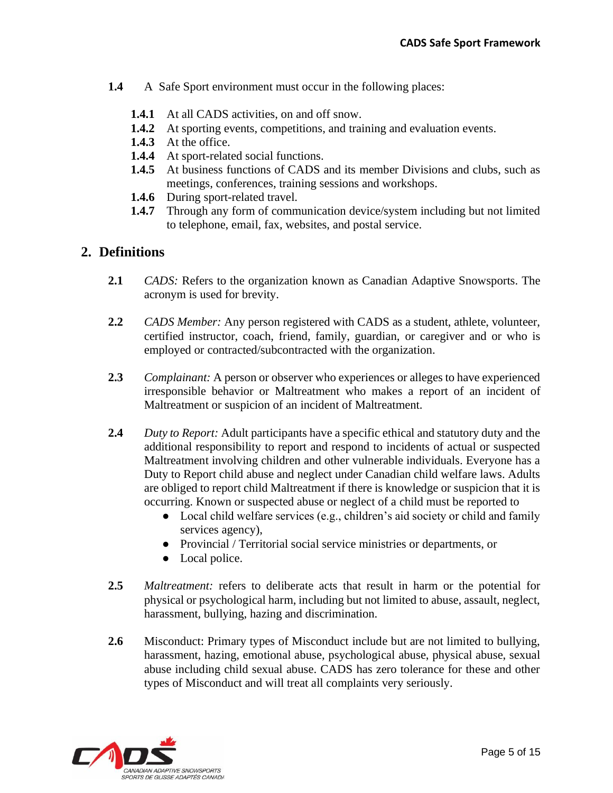- **1.4** A Safe Sport environment must occur in the following places:
	- **1.4.1** At all CADS activities, on and off snow.
	- **1.4.2** At sporting events, competitions, and training and evaluation events.
	- **1.4.3** At the office.
	- 1.4.4 At sport-related social functions.
	- **1.4.5** At business functions of CADS and its member Divisions and clubs, such as meetings, conferences, training sessions and workshops.
	- **1.4.6** During sport-related travel.
	- **1.4.7** Through any form of communication device/system including but not limited to telephone, email, fax, websites, and postal service.

#### <span id="page-4-0"></span>**2. Definitions**

- **2.1** *CADS:* Refers to the organization known as Canadian Adaptive Snowsports. The acronym is used for brevity.
- **2.2** *CADS Member:* Any person registered with CADS as a student, athlete, volunteer, certified instructor, coach, friend, family, guardian, or caregiver and or who is employed or contracted/subcontracted with the organization.
- **2.3** *Complainant:* A person or observer who experiences or alleges to have experienced irresponsible behavior or Maltreatment who makes a report of an incident of Maltreatment or suspicion of an incident of Maltreatment.
- **2.4** *Duty to Report:* Adult participants have a specific ethical and statutory duty and the additional responsibility to report and respond to incidents of actual or suspected Maltreatment involving children and other vulnerable individuals. Everyone has a Duty to Report child abuse and neglect under Canadian child welfare laws. Adults are obliged to report child Maltreatment if there is knowledge or suspicion that it is occurring. Known or suspected abuse or neglect of a child must be reported to
	- $\bullet$  Local child welfare services (e.g., children's aid society or child and family services agency),
	- Provincial / Territorial social service ministries or departments, or
	- Local police.
- **2.5** *Maltreatment:* refers to deliberate acts that result in harm or the potential for physical or psychological harm, including but not limited to abuse, assault, neglect, harassment, bullying, hazing and discrimination.
- **2.6** Misconduct: Primary types of Misconduct include but are not limited to bullying, harassment, hazing, emotional abuse, psychological abuse, physical abuse, sexual abuse including child sexual abuse. CADS has zero tolerance for these and other types of Misconduct and will treat all complaints very seriously.

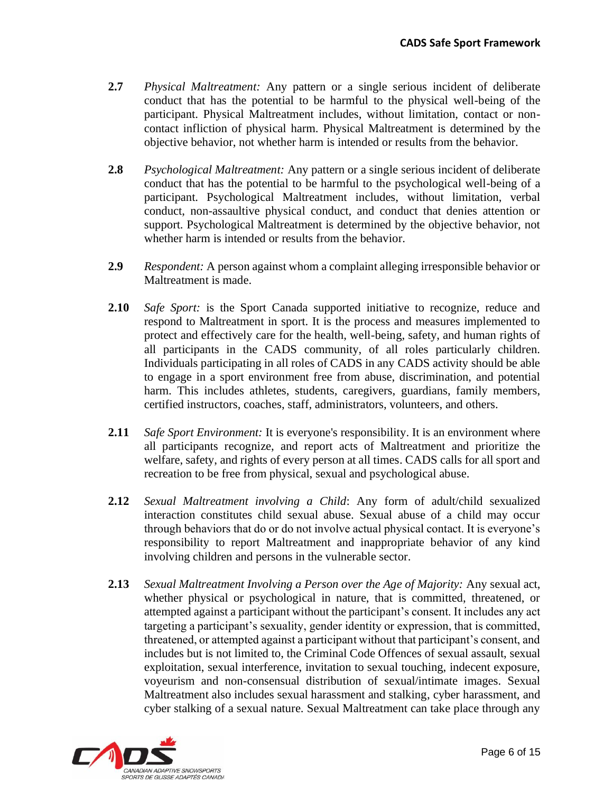- **2.7** *Physical Maltreatment:* Any pattern or a single serious incident of deliberate conduct that has the potential to be harmful to the physical well-being of the participant. Physical Maltreatment includes, without limitation, contact or noncontact infliction of physical harm. Physical Maltreatment is determined by the objective behavior, not whether harm is intended or results from the behavior.
- **2.8** *Psychological Maltreatment:* Any pattern or a single serious incident of deliberate conduct that has the potential to be harmful to the psychological well-being of a participant. Psychological Maltreatment includes, without limitation, verbal conduct, non-assaultive physical conduct, and conduct that denies attention or support. Psychological Maltreatment is determined by the objective behavior, not whether harm is intended or results from the behavior.
- **2.9** *Respondent:* A person against whom a complaint alleging irresponsible behavior or Maltreatment is made.
- **2.10** *Safe Sport:* is the Sport Canada supported initiative to recognize, reduce and respond to Maltreatment in sport. It is the process and measures implemented to protect and effectively care for the health, well-being, safety, and human rights of all participants in the CADS community, of all roles particularly children. Individuals participating in all roles of CADS in any CADS activity should be able to engage in a sport environment free from abuse, discrimination, and potential harm. This includes athletes, students, caregivers, guardians, family members, certified instructors, coaches, staff, administrators, volunteers, and others.
- **2.11** *Safe Sport Environment:* It is everyone's responsibility. It is an environment where all participants recognize, and report acts of Maltreatment and prioritize the welfare, safety, and rights of every person at all times. CADS calls for all sport and recreation to be free from physical, sexual and psychological abuse.
- **2.12** *Sexual Maltreatment involving a Child*: Any form of adult/child sexualized interaction constitutes child sexual abuse. Sexual abuse of a child may occur through behaviors that do or do not involve actual physical contact. It is everyone's responsibility to report Maltreatment and inappropriate behavior of any kind involving children and persons in the vulnerable sector.
- **2.13** *Sexual Maltreatment Involving a Person over the Age of Majority:* Any sexual act, whether physical or psychological in nature, that is committed, threatened, or attempted against a participant without the participant's consent. It includes any act targeting a participant's sexuality, gender identity or expression, that is committed, threatened, or attempted against a participant without that participant's consent, and includes but is not limited to, the Criminal Code Offences of sexual assault, sexual exploitation, sexual interference, invitation to sexual touching, indecent exposure, voyeurism and non-consensual distribution of sexual/intimate images. Sexual Maltreatment also includes sexual harassment and stalking, cyber harassment, and cyber stalking of a sexual nature. Sexual Maltreatment can take place through any

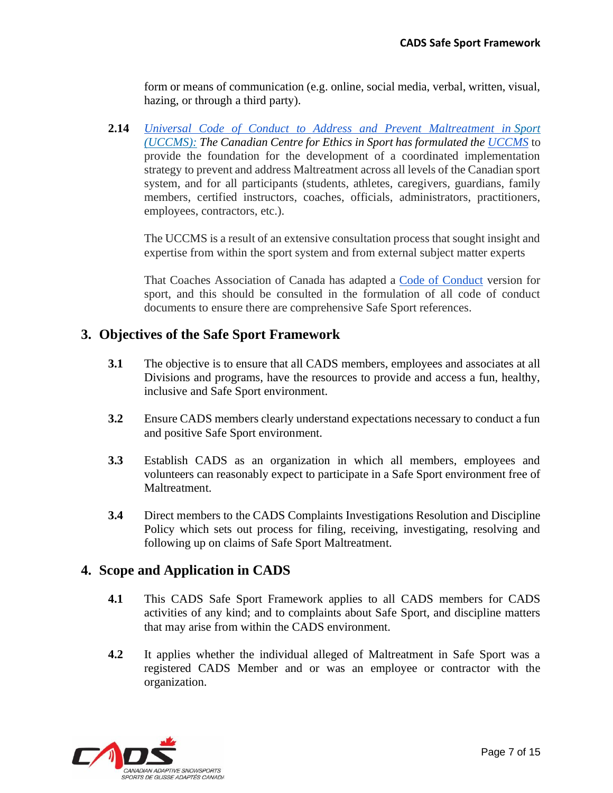form or means of communication (e.g. online, social media, verbal, written, visual, hazing, or through a third party).

**2.14** *[Universal Code of Conduct to Address and Prevent Maltreatment in](https://sirc.ca/wp-content/uploads/2020/01/UCCMS-v5.1-FINAL-Eng.pdf) Sport (UCCMS): The Canadian Centre for Ethics in Sport has formulated the [UCCMS](https://sirc.ca/wp-content/uploads/2020/01/UCCMS-v5.1-FINAL-Eng.pdf)* to provide the foundation for the development of a coordinated implementation strategy to prevent and address Maltreatment across all levels of the Canadian sport system, and for all participants (students, athletes, caregivers, guardians, family members, certified instructors, coaches, officials, administrators, practitioners, employees, contractors, etc.).

The UCCMS is a result of an extensive consultation process that sought insight and expertise from within the sport system and from external subject matter experts

That Coaches Association of Canada has adapted a [Code of Conduct](https://coach.ca/sites/default/files/2020-08/CAC%20Code%20of%20Conduct%20and%20Ethics%20with%20Reporting%20Procedures-Aug28_EN.pdf) version for sport, and this should be consulted in the formulation of all code of conduct documents to ensure there are comprehensive Safe Sport references.

## <span id="page-6-0"></span>**3. Objectives of the Safe Sport Framework**

- **3.1** The objective is to ensure that all CADS members, employees and associates at all Divisions and programs, have the resources to provide and access a fun, healthy, inclusive and Safe Sport environment.
- **3.2** Ensure CADS members clearly understand expectations necessary to conduct a fun and positive Safe Sport environment.
- **3.3** Establish CADS as an organization in which all members, employees and volunteers can reasonably expect to participate in a Safe Sport environment free of Maltreatment.
- **3.4** Direct members to the CADS Complaints Investigations Resolution and Discipline Policy which sets out process for filing, receiving, investigating, resolving and following up on claims of Safe Sport Maltreatment.

## <span id="page-6-1"></span>**4. Scope and Application in CADS**

- **4.1** This CADS Safe Sport Framework applies to all CADS members for CADS activities of any kind; and to complaints about Safe Sport, and discipline matters that may arise from within the CADS environment.
- **4.2** It applies whether the individual alleged of Maltreatment in Safe Sport was a registered CADS Member and or was an employee or contractor with the organization.

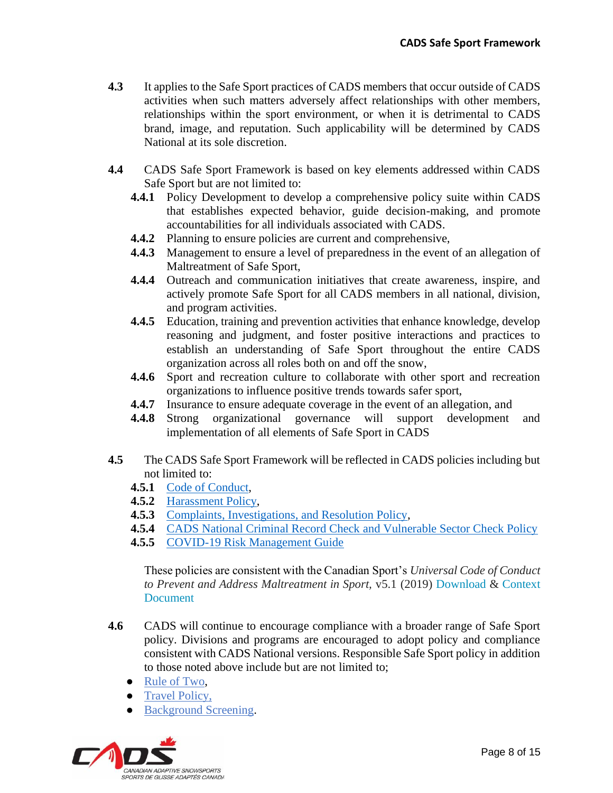- **4.3** It applies to the Safe Sport practices of CADS members that occur outside of CADS activities when such matters adversely affect relationships with other members, relationships within the sport environment, or when it is detrimental to CADS brand, image, and reputation. Such applicability will be determined by CADS National at its sole discretion.
- **4.4** CADS Safe Sport Framework is based on key elements addressed within CADS Safe Sport but are not limited to:
	- **4.4.1** Policy Development to develop a comprehensive policy suite within CADS that establishes expected behavior, guide decision-making, and promote accountabilities for all individuals associated with CADS.
	- **4.4.2** Planning to ensure policies are current and comprehensive,
	- **4.4.3** Management to ensure a level of preparedness in the event of an allegation of Maltreatment of Safe Sport,
	- **4.4.4** Outreach and communication initiatives that create awareness, inspire, and actively promote Safe Sport for all CADS members in all national, division, and program activities.
	- **4.4.5** Education, training and prevention activities that enhance knowledge, develop reasoning and judgment, and foster positive interactions and practices to establish an understanding of Safe Sport throughout the entire CADS organization across all roles both on and off the snow,
	- **4.4.6** Sport and recreation culture to collaborate with other sport and recreation organizations to influence positive trends towards safer sport,
	- **4.4.7** Insurance to ensure adequate coverage in the event of an allegation, and
	- **4.4.8** Strong organizational governance will support development and implementation of all elements of Safe Sport in CADS
- **4.5** The CADS Safe Sport Framework will be reflected in CADS policies including but not limited to:
	- **4.5.1** [Code of Conduct,](https://cads.ski/system/education_resources/docs/000/000/010/original/Code_of_Conduct__2020_10_09.pdf?1603132147)
	- **4.5.2** [Harassment Policy,](https://cads.ski/system/education_resources/docs/000/000/035/original/Harrassment_Policy_2020_08_14.pdf?1603132110)
	- **4.5.3** [Complaints, Investigations, and Resolution Policy,](https://cads.ski/system/education_resources/docs/000/000/034/original/Complaints__Investigations__Resolution_Policy_2020_08_14.pdf?1603132080)
	- **4.5.4** [CADS National Criminal Record Check and Vulnerable Sector Check Policy](https://cads.ski/system/education_resources/docs/000/000/001/original/CADS_CRC_-_VS_Policy_V3.pdf?1603132167)
	- **4.5.5** [COVID-19 Risk Management Guide](https://cads.ski/system/education_resources/docs/000/000/093/original/CADS_National_COVID_Risk_Management_Guide__v3.1-1.pdf?1603214378)

These policies are consistent with the Canadian Sport's *Universal Code of Conduct to Prevent and Address Maltreatment in Sport,* v5.1 (2019) [Download](https://sirc.ca/wp-content/uploads/2020/01/UCCMS-v5.1-FINAL-Eng.pdf) & [Context](https://sirc.ca/wp-content/uploads/2020/01/UCCMS-v5.1-Distribution-to-NSOs-MSOs-FINAL.pdf)  [Document](https://sirc.ca/wp-content/uploads/2020/01/UCCMS-v5.1-Distribution-to-NSOs-MSOs-FINAL.pdf)

- **4.6** CADS will continue to encourage compliance with a broader range of Safe Sport policy. Divisions and programs are encouraged to adopt policy and compliance consistent with CADS National versions. Responsible Safe Sport policy in addition to those noted above include but are not limited to;
	- [Rule of Two,](https://coach.ca/three-steps-responsible-coaching)
	- [Travel Policy,](https://commit2kids.ca/pdfs/EDU_TravelGuidelinesYouthSport_en.pdf)
	- [Background Screening.](https://coach.ca/three-steps-responsible-coaching)

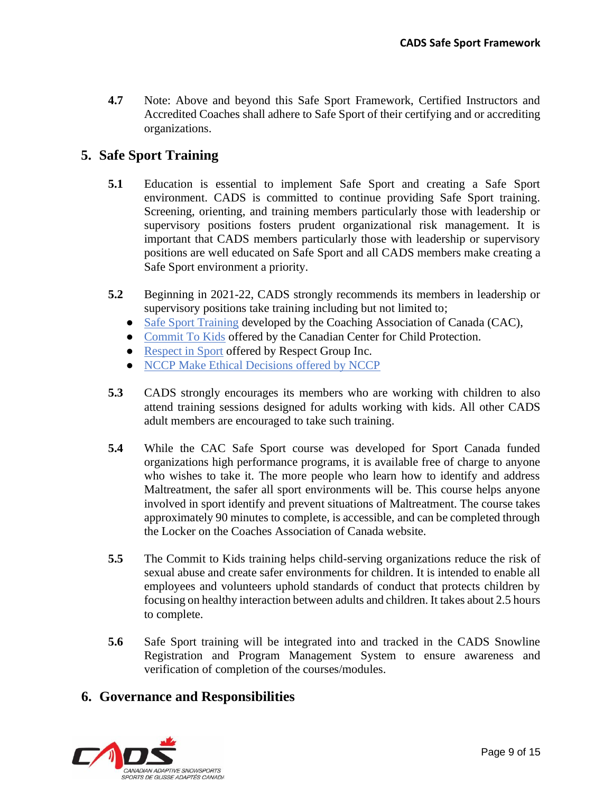**4.7** Note: Above and beyond this Safe Sport Framework, Certified Instructors and Accredited Coaches shall adhere to Safe Sport of their certifying and or accrediting organizations.

## <span id="page-8-0"></span>**5. Safe Sport Training**

- **5.1** Education is essential to implement Safe Sport and creating a Safe Sport environment. CADS is committed to continue providing Safe Sport training. Screening, orienting, and training members particularly those with leadership or supervisory positions fosters prudent organizational risk management. It is important that CADS members particularly those with leadership or supervisory positions are well educated on Safe Sport and all CADS members make creating a Safe Sport environment a priority.
- **5.2** Beginning in 2021-22, CADS strongly recommends its members in leadership or supervisory positions take training including but not limited to;
	- [Safe Sport](https://safesport.coach.ca/) Training developed by the Coaching Association of Canada (CAC),
	- [Commit To Kids](https://commit2kids.ca/en/) offered by the Canadian Center for Child Protection.
	- [Respect in Sport](https://www.respectgroupinc.com/respect-in-sport/) offered by Respect Group Inc.
	- [NCCP Make Ethical Decisions](https://coach.ca/responsible-coaching-movement) offered by NCCP
- **5.3** CADS strongly encourages its members who are working with children to also attend training sessions designed for adults working with kids. All other CADS adult members are encouraged to take such training.
- **5.4** While the CAC Safe Sport course was developed for Sport Canada funded organizations high performance programs, it is available free of charge to anyone who wishes to take it. The more people who learn how to identify and address Maltreatment, the safer all sport environments will be. This course helps anyone involved in sport identify and prevent situations of Maltreatment. The course takes approximately 90 minutes to complete, is accessible, and can be completed through the Locker on the Coaches Association of Canada website.
- **5.5** The Commit to Kids training helps child-serving organizations reduce the risk of sexual abuse and create safer environments for children. It is intended to enable all employees and volunteers uphold standards of conduct that protects children by focusing on healthy interaction between adults and children. It takes about 2.5 hours to complete.
- **5.6** Safe Sport training will be integrated into and tracked in the CADS Snowline Registration and Program Management System to ensure awareness and verification of completion of the courses/modules.

## <span id="page-8-1"></span>**6. Governance and Responsibilities**

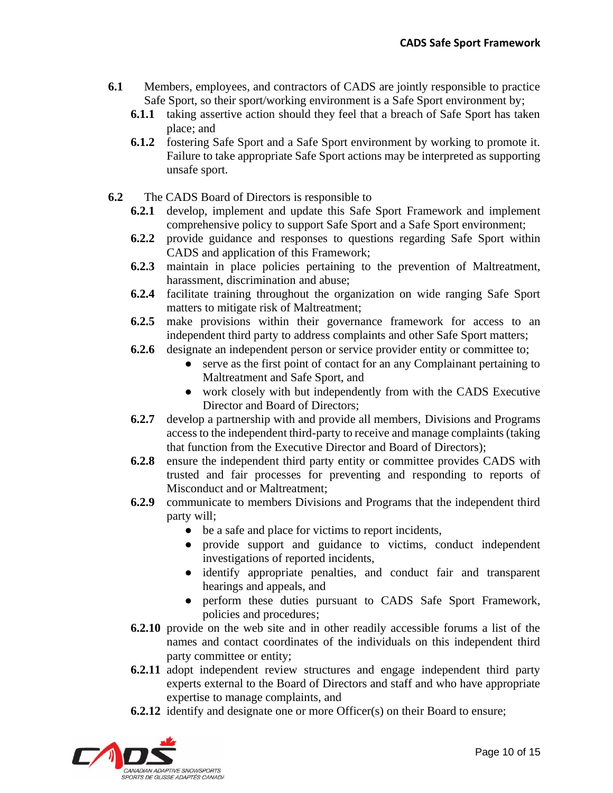- **6.1** Members, employees, and contractors of CADS are jointly responsible to practice Safe Sport, so their sport/working environment is a Safe Sport environment by;
	- **6.1.1** taking assertive action should they feel that a breach of Safe Sport has taken place; and
	- **6.1.2** fostering Safe Sport and a Safe Sport environment by working to promote it. Failure to take appropriate Safe Sport actions may be interpreted as supporting unsafe sport.
- **6.2** The CADS Board of Directors is responsible to
	- **6.2.1** develop, implement and update this Safe Sport Framework and implement comprehensive policy to support Safe Sport and a Safe Sport environment;
	- **6.2.2** provide guidance and responses to questions regarding Safe Sport within CADS and application of this Framework;
	- **6.2.3** maintain in place policies pertaining to the prevention of Maltreatment, harassment, discrimination and abuse;
	- **6.2.4** facilitate training throughout the organization on wide ranging Safe Sport matters to mitigate risk of Maltreatment;
	- **6.2.5** make provisions within their governance framework for access to an independent third party to address complaints and other Safe Sport matters;
	- **6.2.6** designate an independent person or service provider entity or committee to;
		- serve as the first point of contact for an any Complainant pertaining to Maltreatment and Safe Sport, and
		- work closely with but independently from with the CADS Executive Director and Board of Directors;
	- **6.2.7** develop a partnership with and provide all members, Divisions and Programs access to the independent third-party to receive and manage complaints (taking that function from the Executive Director and Board of Directors);
	- **6.2.8** ensure the independent third party entity or committee provides CADS with trusted and fair processes for preventing and responding to reports of Misconduct and or Maltreatment;
	- **6.2.9** communicate to members Divisions and Programs that the independent third party will;
		- be a safe and place for victims to report incidents,
		- provide support and guidance to victims, conduct independent investigations of reported incidents,
		- identify appropriate penalties, and conduct fair and transparent hearings and appeals, and
		- perform these duties pursuant to CADS Safe Sport Framework, policies and procedures;
	- **6.2.10** provide on the web site and in other readily accessible forums a list of the names and contact coordinates of the individuals on this independent third party committee or entity;
	- **6.2.11** adopt independent review structures and engage independent third party experts external to the Board of Directors and staff and who have appropriate expertise to manage complaints, and
	- **6.2.12** identify and designate one or more Officer(s) on their Board to ensure;

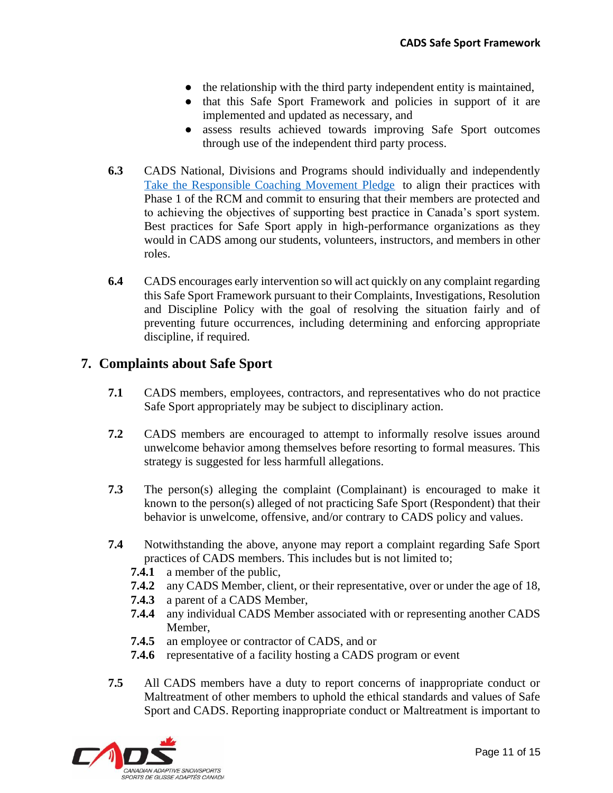- the relationship with the third party independent entity is maintained,
- that this Safe Sport Framework and policies in support of it are implemented and updated as necessary, and
- assess results achieved towards improving Safe Sport outcomes through use of the independent third party process.
- **6.3** CADS National, Divisions and Programs should individually and independently [Take the Responsible Coaching Movement Pledge](https://www.surveymonkey.com/r/CQBLVWH) to align their practices with Phase 1 of the RCM and commit to ensuring that their members are protected and to achieving the objectives of supporting best practice in Canada's sport system. Best practices for Safe Sport apply in high-performance organizations as they would in CADS among our students, volunteers, instructors, and members in other roles.
- **6.4** CADS encourages early intervention so will act quickly on any complaint regarding this Safe Sport Framework pursuant to their Complaints, Investigations, Resolution and Discipline Policy with the goal of resolving the situation fairly and of preventing future occurrences, including determining and enforcing appropriate discipline, if required.

## <span id="page-10-0"></span>**7. Complaints about Safe Sport**

- **7.1** CADS members, employees, contractors, and representatives who do not practice Safe Sport appropriately may be subject to disciplinary action.
- **7.2** CADS members are encouraged to attempt to informally resolve issues around unwelcome behavior among themselves before resorting to formal measures. This strategy is suggested for less harmfull allegations.
- **7.3** The person(s) alleging the complaint (Complainant) is encouraged to make it known to the person(s) alleged of not practicing Safe Sport (Respondent) that their behavior is unwelcome, offensive, and/or contrary to CADS policy and values.
- **7.4** Notwithstanding the above, anyone may report a complaint regarding Safe Sport practices of CADS members. This includes but is not limited to;
	- **7.4.1** a member of the public,
	- **7.4.2** any CADS Member, client, or their representative, over or under the age of 18,
	- **7.4.3** a parent of a CADS Member,
	- **7.4.4** any individual CADS Member associated with or representing another CADS Member,
	- **7.4.5** an employee or contractor of CADS, and or
	- **7.4.6** representative of a facility hosting a CADS program or event
- **7.5** All CADS members have a duty to report concerns of inappropriate conduct or Maltreatment of other members to uphold the ethical standards and values of Safe Sport and CADS. Reporting inappropriate conduct or Maltreatment is important to

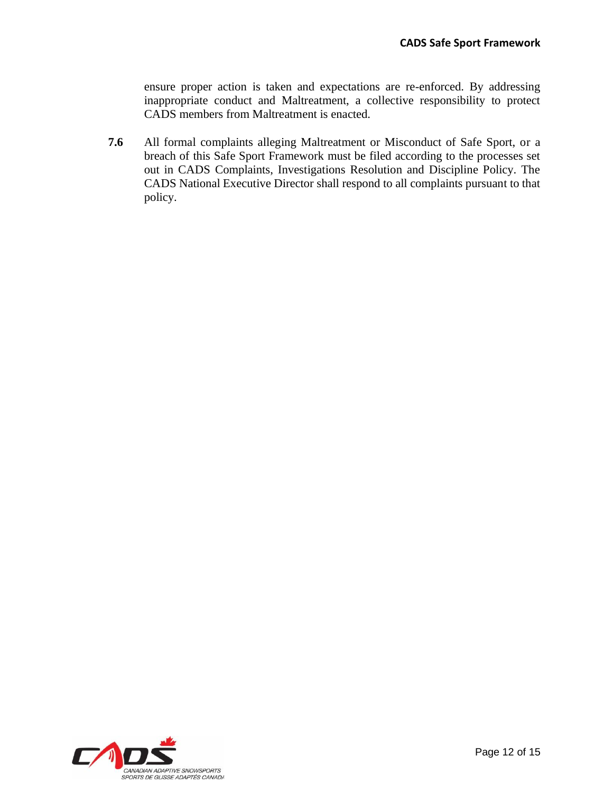ensure proper action is taken and expectations are re-enforced. By addressing inappropriate conduct and Maltreatment, a collective responsibility to protect CADS members from Maltreatment is enacted.

**7.6** All formal complaints alleging Maltreatment or Misconduct of Safe Sport, or a breach of this Safe Sport Framework must be filed according to the processes set out in CADS Complaints, Investigations Resolution and Discipline Policy. The CADS National Executive Director shall respond to all complaints pursuant to that policy.

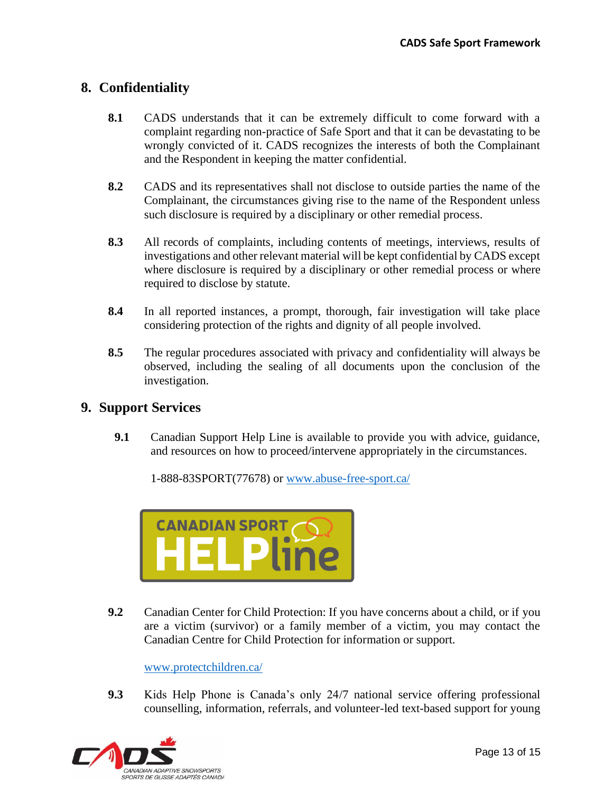## <span id="page-12-0"></span>**8. Confidentiality**

- **8.1** CADS understands that it can be extremely difficult to come forward with a complaint regarding non-practice of Safe Sport and that it can be devastating to be wrongly convicted of it. CADS recognizes the interests of both the Complainant and the Respondent in keeping the matter confidential.
- **8.2** CADS and its representatives shall not disclose to outside parties the name of the Complainant, the circumstances giving rise to the name of the Respondent unless such disclosure is required by a disciplinary or other remedial process.
- **8.3** All records of complaints, including contents of meetings, interviews, results of investigations and other relevant material will be kept confidential by CADS except where disclosure is required by a disciplinary or other remedial process or where required to disclose by statute.
- **8.4** In all reported instances, a prompt, thorough, fair investigation will take place considering protection of the rights and dignity of all people involved.
- **8.5** The regular procedures associated with privacy and confidentiality will always be observed, including the sealing of all documents upon the conclusion of the investigation.

## <span id="page-12-1"></span>**9. Support Services**

**9.1** Canadian Support Help Line is available to provide you with advice, guidance, and resources on how to proceed/intervene appropriately in the circumstances.

1-888-83SPORT(77678) or www.abuse-free-sport.ca/



**9.2** Canadian Center for Child Protection: If you have concerns about a child, or if you are a victim (survivor) or a family member of a victim, you may contact the Canadian Centre for Child Protection for information or support.

www.protectchildren.ca/

**9.3** Kids Help Phone is Canada's only 24/7 national service offering professional counselling, information, referrals, and volunteer-led text-based support for young

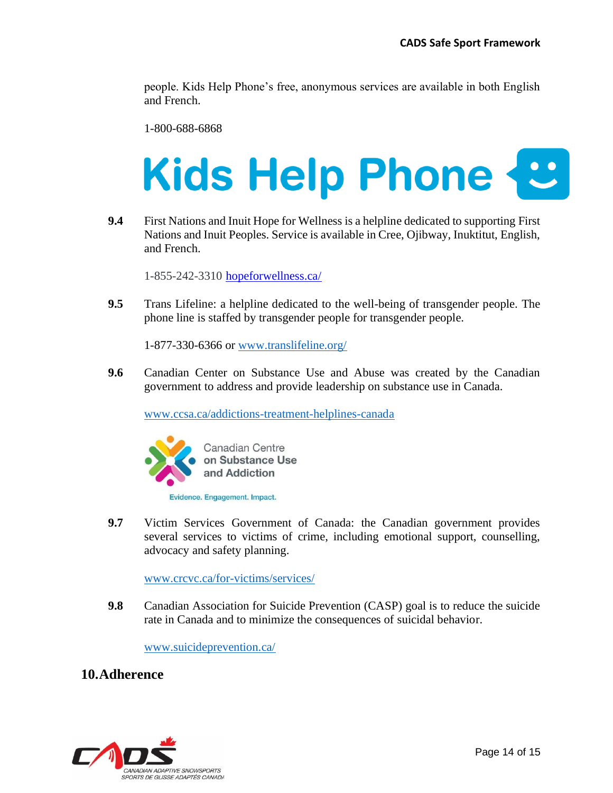people. Kids Help Phone's free, anonymous services are available in both English and French.

1-800-688-6868

# **Kids Help Phone**

**9.4** First Nations and Inuit Hope for Wellness is a helpline dedicated to supporting First Nations and Inuit Peoples. Service is available in Cree, Ojibway, Inuktitut, English, and French.

1-855-242-3310 hopeforwellness.ca/

**9.5** Trans Lifeline: a helpline dedicated to the well-being of transgender people. The phone line is staffed by transgender people for transgender people.

1-877-330-6366 or www.translifeline.org/

**9.6** Canadian Center on Substance Use and Abuse was created by the Canadian government to address and provide leadership on substance use in Canada.

www.ccsa.ca/addictions-treatment-helplines-canada



Evidence. Engagement. Impact.

**9.7** Victim Services Government of Canada: the Canadian government provides several services to victims of crime, including emotional support, counselling, advocacy and safety planning.

www.crcvc.ca/for-victims/services/

**9.8** Canadian Association for Suicide Prevention (CASP) goal is to reduce the suicide rate in Canada and to minimize the consequences of suicidal behavior.

www.suicideprevention.ca/

#### <span id="page-13-0"></span>**10.Adherence**